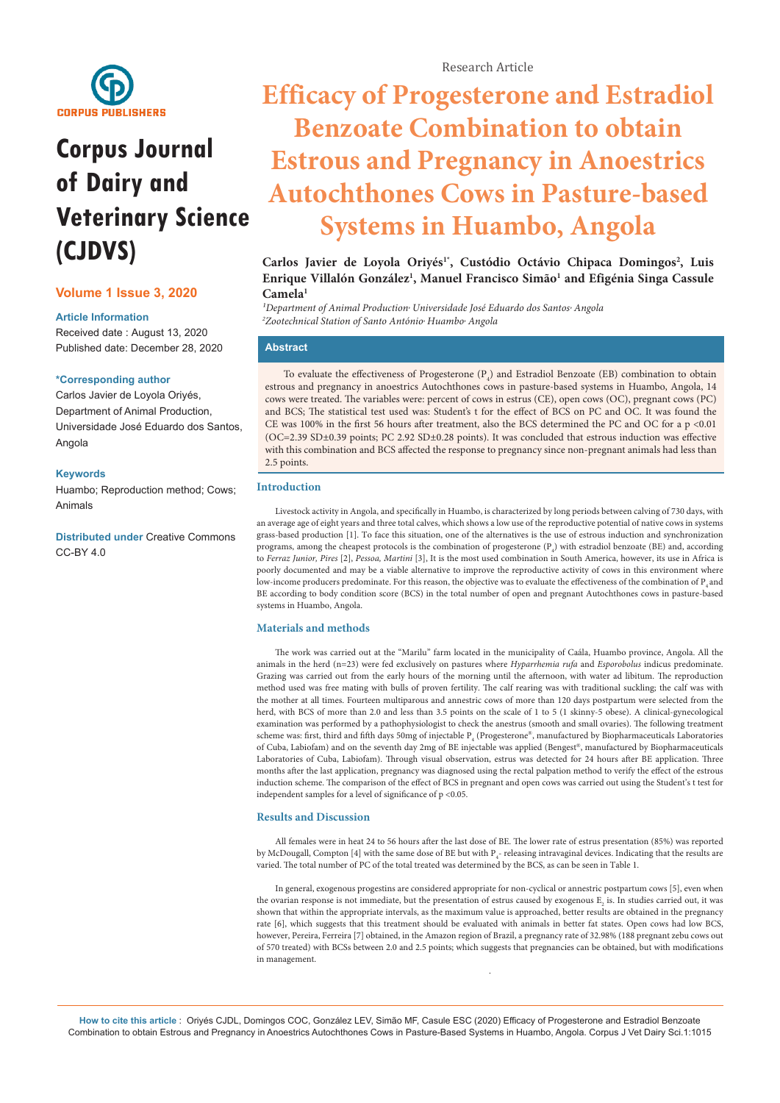

# **Corpus Journal of Dairy and Veterinary Science (CJDVS)**

# **Volume 1 Issue 3, 2020**

# **Article Information**

Received date : August 13, 2020 Published date: December 28, 2020

#### **\*Corresponding author**

Carlos Javier de Loyola Oriyés, Department of Animal Production, Universidade José Eduardo dos Santos, Angola

#### **Keywords**

Huambo; Reproduction method; Cows; Animals

**Distributed under** [Creative Commons](https://creativecommons.org/licenses/by/4.0/)  [CC-BY 4.0](https://creativecommons.org/licenses/by/4.0/)

# **Efficacy of Progesterone and Estradiol Benzoate Combination to obtain Estrous and Pregnancy in Anoestrics Autochthones Cows in Pasture-based Systems in Huambo, Angola**

Carlos Javier de Loyola Oriyés<sup>1\*</sup>, Custódio Octávio Chipaca Domingos<sup>2</sup>, Luis Enrique Villalón González<sup>1</sup>, Manuel Francisco Simão<sup>1</sup> and Efigénia Singa Cassule **Camela1**

<sup>1</sup>Department of Animal Production<sup>,</sup> Universidade José Eduardo dos Santos<sup>,</sup> Angola *2 Zootechnical Station of Santo António, Huambo, Angola*

# **Abstract**

To evaluate the effectiveness of Progesterone  $(P_4)$  and Estradiol Benzoate (EB) combination to obtain estrous and pregnancy in anoestrics Autochthones cows in pasture-based systems in Huambo, Angola, 14 cows were treated. The variables were: percent of cows in estrus (CE), open cows (OC), pregnant cows (PC) and BCS; The statistical test used was: Student's t for the effect of BCS on PC and OC. It was found the CE was 100% in the first 56 hours after treatment, also the BCS determined the PC and OC for a p <0.01 (OC=2.39 SD±0.39 points; PC 2.92 SD±0.28 points). It was concluded that estrous induction was effective with this combination and BCS affected the response to pregnancy since non-pregnant animals had less than 2.5 points.

### **Introduction**

Livestock activity in Angola, and specifically in Huambo, is characterized by long periods between calving of 730 days, with an average age of eight years and three total calves, which shows a low use of the reproductive potential of native cows in systems grass-based production [1]. To face this situation, one of the alternatives is the use of estrous induction and synchronization programs, among the cheapest protocols is the combination of progesterone (P<sub>4</sub>) with estradiol benzoate (BE) and, according to *Ferraz Junior, Pires* [2], *Pessoa, Martini* [3], It is the most used combination in South America, however, its use in Africa is poorly documented and may be a viable alternative to improve the reproductive activity of cows in this environment where low-income producers predominate. For this reason, the objective was to evaluate the effectiveness of the combination of P<sub>4</sub> and BE according to body condition score (BCS) in the total number of open and pregnant Autochthones cows in pasture-based systems in Huambo, Angola.

### **Materials and methods**

The work was carried out at the "Marilu" farm located in the municipality of Caála, Huambo province, Angola. All the animals in the herd (n=23) were fed exclusively on pastures where *Hyparrhemia rufa* and *Esporobolus* indicus predominate. Grazing was carried out from the early hours of the morning until the afternoon, with water ad libitum. The reproduction method used was free mating with bulls of proven fertility. The calf rearing was with traditional suckling; the calf was with the mother at all times. Fourteen multiparous and annestric cows of more than 120 days postpartum were selected from the herd, with BCS of more than 2.0 and less than 3.5 points on the scale of 1 to 5 (1 skinny-5 obese). A clinical-gynecological examination was performed by a pathophysiologist to check the anestrus (smooth and small ovaries). The following treatment scheme was: first, third and fifth days 50mg of injectable  $P_{_4}$  (Progesterone®, manufactured by Biopharmaceuticals Laboratories of Cuba, Labiofam) and on the seventh day 2mg of BE injectable was applied (Bengest®, manufactured by Biopharmaceuticals Laboratories of Cuba, Labiofam). Through visual observation, estrus was detected for 24 hours after BE application. Three months after the last application, pregnancy was diagnosed using the rectal palpation method to verify the effect of the estrous induction scheme. The comparison of the effect of BCS in pregnant and open cows was carried out using the Student's t test for independent samples for a level of significance of p <0.05.

#### **Results and Discussion**

All females were in heat 24 to 56 hours after the last dose of BE. The lower rate of estrus presentation (85%) was reported by McDougall, Compton [4] with the same dose of BE but with  $P_i$ - releasing intravaginal devices. Indicating that the results are varied. The total number of PC of the total treated was determined by the BCS, as can be seen in Table 1.

In general, exogenous progestins are considered appropriate for non-cyclical or annestric postpartum cows [5], even when the ovarian response is not immediate, but the presentation of estrus caused by exogenous  $E_2$  is. In studies carried out, it was shown that within the appropriate intervals, as the maximum value is approached, better results are obtained in the pregnancy rate [6], which suggests that this treatment should be evaluated with animals in better fat states. Open cows had low BCS, however, Pereira, Ferreira [7] obtained, in the Amazon region of Brazil, a pregnancy rate of 32.98% (188 pregnant zebu cows out of 570 treated) with BCSs between 2.0 and 2.5 points; which suggests that pregnancies can be obtained, but with modifications in management.

.

**How to cite this article** : Oriyés CJDL, Domingos COC, González LEV, Simão MF, Casule ESC (2020) Efficacy of Progesterone and Estradiol Benzoate Combination to obtain Estrous and Pregnancy in Anoestrics Autochthones Cows in Pasture-Based Systems in Huambo, Angola. Corpus J Vet Dairy Sci.1:1015